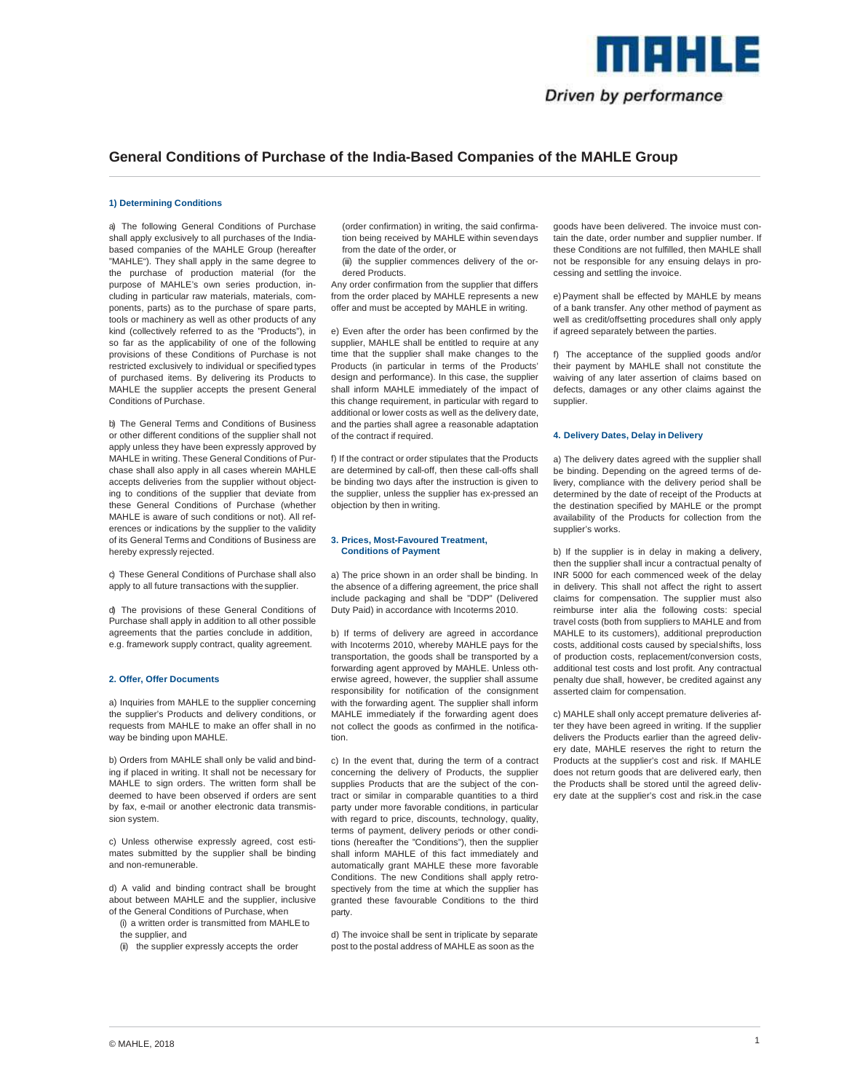

# **General Conditions of Purchase of the India-Based Companies of the MAHLE Group**

## **1) Determining Conditions**

a) The following General Conditions of Purchase shall apply exclusively to all purchases of the Indiabased companies of the MAHLE Group (hereafter "MAHLE"). They shall apply in the same degree to the purchase of production material (for the purpose of MAHLE's own series production, including in particular raw materials, materials, components, parts) as to the purchase of spare parts, tools or machinery as well as other products of any kind (collectively referred to as the "Products"), in so far as the applicability of one of the following provisions of these Conditions of Purchase is not restricted exclusively to individual or specified types of purchased items. By delivering its Products to MAHLE the supplier accepts the present General Conditions of Purchase.

b) The General Terms and Conditions of Business or other different conditions of the supplier shall not apply unless they have been expressly approved by MAHLE in writing. These General Conditions of Purchase shall also apply in all cases wherein MAHLE accepts deliveries from the supplier without objecting to conditions of the supplier that deviate from these General Conditions of Purchase (whether MAHLE is aware of such conditions or not). All references or indications by the supplier to the validity of its General Terms and Conditions of Business are hereby expressly rejected.

c) These General Conditions of Purchase shall also apply to all future transactions with the supplier.

d) The provisions of these General Conditions of Purchase shall apply in addition to all other possible agreements that the parties conclude in addition, e.g. framework supply contract, quality agreement.

#### **2. Offer, Offer Documents**

a) Inquiries from MAHLE to the supplier concerning the supplier's Products and delivery conditions, or requests from MAHLE to make an offer shall in no way be binding upon MAHLE.

b) Orders from MAHLE shall only be valid and binding if placed in writing. It shall not be necessary for MAHLE to sign orders. The written form shall be deemed to have been observed if orders are sent by fax, e-mail or another electronic data transmission system.

c) Unless otherwise expressly agreed, cost estimates submitted by the supplier shall be binding and non-remunerable.

d) A valid and binding contract shall be brought about between MAHLE and the supplier, inclusive of the General Conditions of Purchase, when

- (i) a written order is transmitted from MAHLE to the supplier, and
- (ii) the supplier expressly accepts the order

(order confirmation) in writing, the said confirmation being received by MAHLE within seven days from the date of the order, or

(iii) the supplier commences delivery of the ordered Products.

Any order confirmation from the supplier that differs from the order placed by MAHLE represents a new offer and must be accepted by MAHLE in writing.

e) Even after the order has been confirmed by the supplier, MAHLE shall be entitled to require at any time that the supplier shall make changes to the Products (in particular in terms of the Products' design and performance). In this case, the supplier shall inform MAHLE immediately of the impact of this change requirement, in particular with regard to additional or lower costs as well as the delivery date, and the parties shall agree a reasonable adaptation of the contract if required.

f) If the contract or order stipulates that the Products are determined by call-off, then these call-offs shall be binding two days after the instruction is given to the supplier, unless the supplier has ex-pressed an objection by then in writing.

## **3. Prices, Most-Favoured Treatment, Conditions of Payment**

a) The price shown in an order shall be binding. In the absence of a differing agreement, the price shall include packaging and shall be "DDP" (Delivered Duty Paid) in accordance with Incoterms 2010.

b) If terms of delivery are agreed in accordance with Incoterms 2010, whereby MAHLE pays for the transportation, the goods shall be transported by a forwarding agent approved by MAHLE. Unless otherwise agreed, however, the supplier shall assume responsibility for notification of the consignment with the forwarding agent. The supplier shall inform MAHLE immediately if the forwarding agent does not collect the goods as confirmed in the notification.

c) In the event that, during the term of a contract concerning the delivery of Products, the supplier supplies Products that are the subject of the contract or similar in comparable quantities to a third party under more favorable conditions, in particular with regard to price, discounts, technology, quality, terms of payment, delivery periods or other conditions (hereafter the "Conditions"), then the supplier shall inform MAHLE of this fact immediately and automatically grant MAHLE these more favorable Conditions. The new Conditions shall apply retrospectively from the time at which the supplier has granted these favourable Conditions to the third party.

d) The invoice shall be sent in triplicate by separate post to the postal address of MAHLE as soon as the

goods have been delivered. The invoice must contain the date, order number and supplier number. If these Conditions are not fulfilled, then MAHLE shall not be responsible for any ensuing delays in processing and settling the invoice.

e) Payment shall be effected by MAHLE by means of a bank transfer. Any other method of payment as well as credit/offsetting procedures shall only apply if agreed separately between the parties.

f) The acceptance of the supplied goods and/or their payment by MAHLE shall not constitute the waiving of any later assertion of claims based on defects, damages or any other claims against the supplier.

## **4. Delivery Dates, Delay in Delivery**

a) The delivery dates agreed with the supplier shall be binding. Depending on the agreed terms of delivery, compliance with the delivery period shall be determined by the date of receipt of the Products at the destination specified by MAHLE or the prompt availability of the Products for collection from the supplier's works.

b) If the supplier is in delay in making a delivery, then the supplier shall incur a contractual penalty of INR 5000 for each commenced week of the delay in delivery. This shall not affect the right to assert claims for compensation. The supplier must also reimburse inter alia the following costs: special travel costs (both from suppliers to MAHLE and from MAHLE to its customers), additional preproduction costs, additional costs caused by special shifts, loss of production costs, replacement/conversion costs, additional test costs and lost profit. Any contractual penalty due shall, however, be credited against any asserted claim for compensation.

c) MAHLE shall only accept premature deliveries after they have been agreed in writing. If the supplier delivers the Products earlier than the agreed delivery date, MAHLE reserves the right to return the Products at the supplier's cost and risk. If MAHLE does not return goods that are delivered early, then the Products shall be stored until the agreed delivery date at the supplier's cost and risk.in the case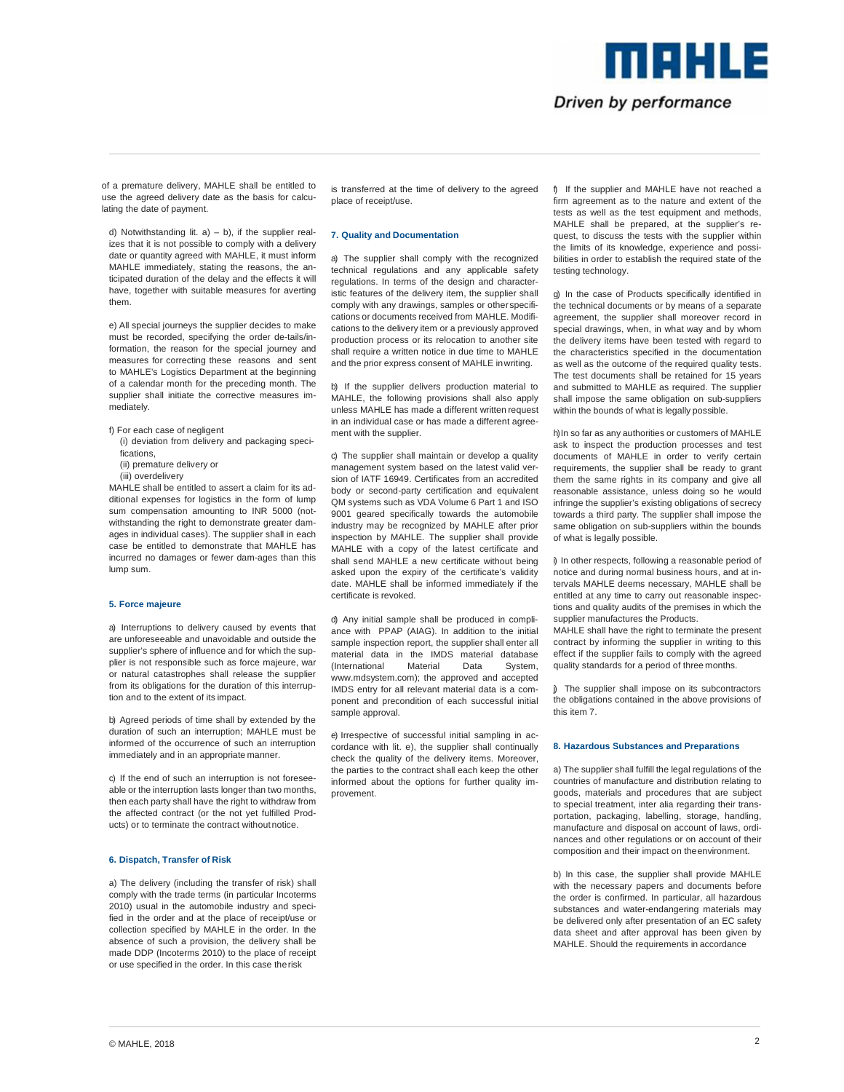# Driven by performance

me HLE

of a premature delivery, MAHLE shall be entitled to use the agreed delivery date as the basis for calculating the date of payment.

d) Notwithstanding lit.  $a$ ) – b), if the supplier realizes that it is not possible to comply with a delivery date or quantity agreed with MAHLE, it must inform MAHLE immediately, stating the reasons, the anticipated duration of the delay and the effects it will have, together with suitable measures for averting them.

e) All special journeys the supplier decides to make must be recorded, specifying the order de-tails/information, the reason for the special journey and measures for correcting these reasons and sent to MAHLE's Logistics Department at the beginning of a calendar month for the preceding month. The supplier shall initiate the corrective measures immediately.

- f) For each case of negligent
- (i) deviation from delivery and packaging specifications,
- (ii) premature delivery or
- (iii) overdelivery

MAHLE shall be entitled to assert a claim for its additional expenses for logistics in the form of lump sum compensation amounting to INR 5000 (notwithstanding the right to demonstrate greater damages in individual cases). The supplier shall in each case be entitled to demonstrate that MAHLE has incurred no damages or fewer dam-ages than this lump sum.

#### **5. Force majeure**

a) Interruptions to delivery caused by events that are unforeseeable and unavoidable and outside the supplier's sphere of influence and for which the supplier is not responsible such as force majeure, war or natural catastrophes shall release the supplier from its obligations for the duration of this interruption and to the extent of its impact.

b) Agreed periods of time shall by extended by the duration of such an interruption; MAHLE must be informed of the occurrence of such an interruption immediately and in an appropriate manner.

c) If the end of such an interruption is not foreseeable or the interruption lasts longer than two months, then each party shall have the right to withdraw from the affected contract (or the not yet fulfilled Products) or to terminate the contract without notice.

# **6. Dispatch, Transfer of Risk**

a) The delivery (including the transfer of risk) shall comply with the trade terms (in particular Incoterms 2010) usual in the automobile industry and specified in the order and at the place of receipt/use or collection specified by MAHLE in the order. In the absence of such a provision, the delivery shall be made DDP (Incoterms 2010) to the place of receipt or use specified in the order. In this case the risk

is transferred at the time of delivery to the agreed place of receipt/use.

#### **7. Quality and Documentation**

a) The supplier shall comply with the recognized technical regulations and any applicable safety regulations. In terms of the design and characteristic features of the delivery item, the supplier shall comply with any drawings, samples or other specifications or documents received from MAHLE. Modifications to the delivery item or a previously approved production process or its relocation to another site shall require a written notice in due time to MAHLE and the prior express consent of MAHLE in writing.

b) If the supplier delivers production material to MAHLE, the following provisions shall also apply unless MAHLE has made a different written request in an individual case or has made a different agreement with the supplier.

c) The supplier shall maintain or develop a quality management system based on the latest valid version of IATF 16949. Certificates from an accredited body or second-party certification and equivalent QM systems such as VDA Volume 6 Part 1 and ISO 9001 geared specifically towards the automobile industry may be recognized by MAHLE after prior inspection by MAHLE. The supplier shall provide MAHLE with a copy of the latest certificate and shall send MAHLE a new certificate without being asked upon the expiry of the certificate's validity date. MAHLE shall be informed immediately if the certificate is revoked.

d) Any initial sample shall be produced in compliance with PPAP (AIAG). In addition to the initial sample inspection report, the supplier shall enter all material data in the IMDS material database<br>(International Material Data System, (International Material Data System, www.mdsystem.com); the approved and accepted IMDS entry for all relevant material data is a component and precondition of each successful initial sample approval.

e) Irrespective of successful initial sampling in accordance with lit. e), the supplier shall continually check the quality of the delivery items. Moreover, the parties to the contract shall each keep the other informed about the options for further quality improvement.

f) If the supplier and MAHLE have not reached a firm agreement as to the nature and extent of the tests as well as the test equipment and methods, MAHLE shall be prepared, at the supplier's request, to discuss the tests with the supplier within the limits of its knowledge, experience and possibilities in order to establish the required state of the testing technology.

g) In the case of Products specifically identified in the technical documents or by means of a separate agreement, the supplier shall moreover record in special drawings, when, in what way and by whom the delivery items have been tested with regard to the characteristics specified in the documentation as well as the outcome of the required quality tests. The test documents shall be retained for 15 years and submitted to MAHLE as required. The supplier shall impose the same obligation on sub-suppliers within the bounds of what is legally possible.

h) In so far as any authorities or customers of MAHLE ask to inspect the production processes and test documents of MAHLE in order to verify certain requirements, the supplier shall be ready to grant them the same rights in its company and give all reasonable assistance, unless doing so he would infringe the supplier's existing obligations of secrecy towards a third party. The supplier shall impose the same obligation on sub-suppliers within the bounds of what is legally possible.

i) In other respects, following a reasonable period of notice and during normal business hours, and at intervals MAHLE deems necessary, MAHLE shall be entitled at any time to carry out reasonable inspections and quality audits of the premises in which the supplier manufactures the Products.

MAHLE shall have the right to terminate the present contract by informing the supplier in writing to this effect if the supplier fails to comply with the agreed quality standards for a period of three months.

j) The supplier shall impose on its subcontractors the obligations contained in the above provisions of this item 7.

#### **8. Hazardous Substances and Preparations**

a) The supplier shall fulfill the legal regulations of the countries of manufacture and distribution relating to goods, materials and procedures that are subject to special treatment, inter alia regarding their transportation, packaging, labelling, storage, handling, manufacture and disposal on account of laws, ordinances and other regulations or on account of their composition and their impact on the environment.

b) In this case, the supplier shall provide MAHLE with the necessary papers and documents before the order is confirmed. In particular, all hazardous substances and water-endangering materials may be delivered only after presentation of an EC safety data sheet and after approval has been given by MAHLE. Should the requirements in accordance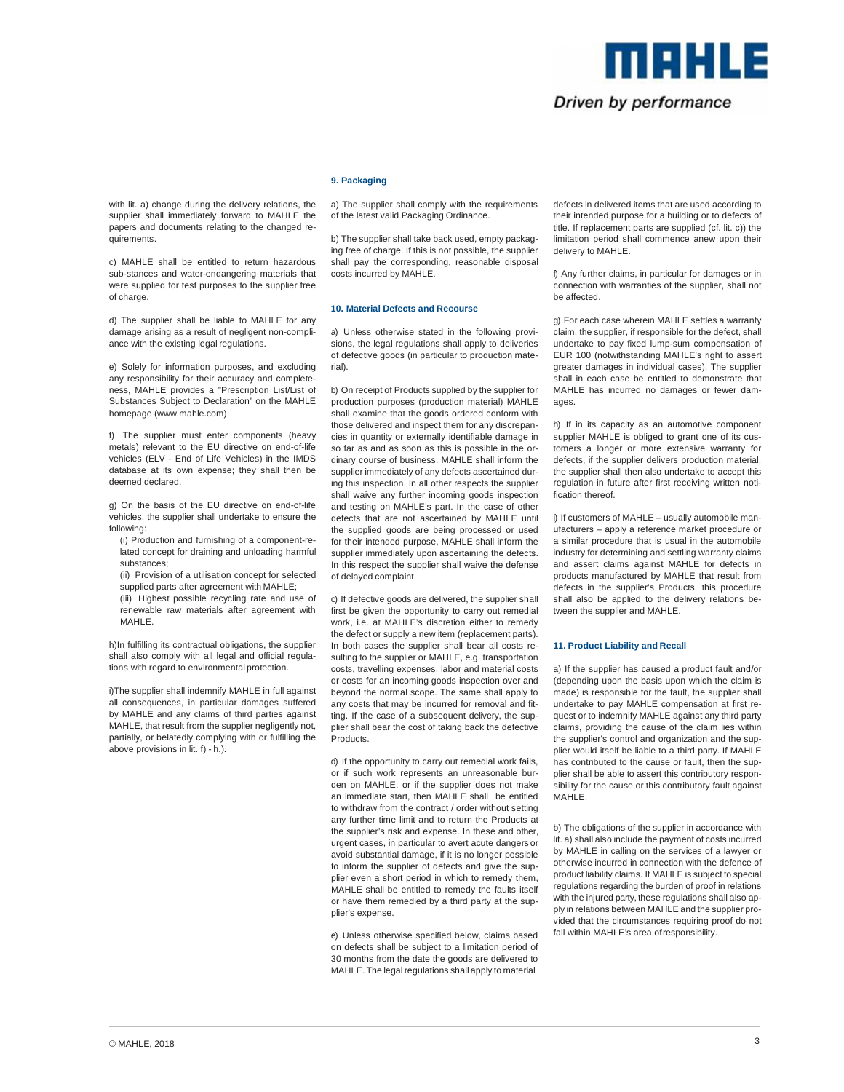

# Driven by performance

with lit. a) change during the delivery relations, the supplier shall immediately forward to MAHLE the papers and documents relating to the changed requirements.

c) MAHLE shall be entitled to return hazardous sub-stances and water-endangering materials that were supplied for test purposes to the supplier free of charge.

d) The supplier shall be liable to MAHLE for any damage arising as a result of negligent non-compliance with the existing legal regulations.

e) Solely for information purposes, and excluding any responsibility for their accuracy and completeness, MAHLE provides a "Prescription List/List of Substances Subject to Declaration" on the MAHLE homepage (www.mahle.com).

f) The supplier must enter components (heavy metals) relevant to the EU directive on end-of-life vehicles (ELV - End of Life Vehicles) in the IMDS database at its own expense; they shall then be deemed declared.

g) On the basis of the EU directive on end-of-life vehicles, the supplier shall undertake to ensure the following:

- (i) Production and furnishing of a component-related concept for draining and unloading harmful substances;
- (ii) Provision of a utilisation concept for selected supplied parts after agreement with MAHLE;
- (iii) Highest possible recycling rate and use of renewable raw materials after agreement with MAHI F

h)In fulfilling its contractual obligations, the supplier shall also comply with all legal and official regulations with regard to environmental protection.

i)The supplier shall indemnify MAHLE in full against all consequences, in particular damages suffered by MAHLE and any claims of third parties against MAHLE, that result from the supplier negligently not. partially, or belatedly complying with or fulfilling the above provisions in lit. f) - h.).

# **9. Packaging**

a) The supplier shall comply with the requirements of the latest valid Packaging Ordinance.

b) The supplier shall take back used, empty packaging free of charge. If this is not possible, the supplier shall pay the corresponding, reasonable disposal costs incurred by MAHLE.

# **10. Material Defects and Recourse**

a) Unless otherwise stated in the following provisions, the legal regulations shall apply to deliveries of defective goods (in particular to production material).

b) On receipt of Products supplied by the supplier for production purposes (production material) MAHLE shall examine that the goods ordered conform with those delivered and inspect them for any discrepancies in quantity or externally identifiable damage in so far as and as soon as this is possible in the ordinary course of business. MAHLE shall inform the supplier immediately of any defects ascertained during this inspection. In all other respects the supplier shall waive any further incoming goods inspection and testing on MAHLE's part. In the case of other defects that are not ascertained by MAHLE until the supplied goods are being processed or used for their intended purpose, MAHLE shall inform the supplier immediately upon ascertaining the defects. In this respect the supplier shall waive the defense of delayed complaint.

c) If defective goods are delivered, the supplier shall first be given the opportunity to carry out remedial work, i.e. at MAHLE's discretion either to remedy the defect or supply a new item (replacement parts). In both cases the supplier shall bear all costs resulting to the supplier or MAHLE, e.g. transportation costs, travelling expenses, labor and material costs or costs for an incoming goods inspection over and beyond the normal scope. The same shall apply to any costs that may be incurred for removal and fitting. If the case of a subsequent delivery, the supplier shall bear the cost of taking back the defective .<br>Products.

d) If the opportunity to carry out remedial work fails, or if such work represents an unreasonable burden on MAHLE, or if the supplier does not make an immediate start, then MAHLE shall be entitled to withdraw from the contract / order without setting any further time limit and to return the Products at the supplier's risk and expense. In these and other urgent cases, in particular to avert acute dangers or avoid substantial damage, if it is no longer possible to inform the supplier of defects and give the supplier even a short period in which to remedy them, MAHLE shall be entitled to remedy the faults itself or have them remedied by a third party at the supplier's expense.

e) Unless otherwise specified below, claims based on defects shall be subject to a limitation period of 30 months from the date the goods are delivered to MAHLE. The legal regulations shall apply to material

defects in delivered items that are used according to their intended purpose for a building or to defects of title. If replacement parts are supplied (cf. lit. c)) the limitation period shall commence anew upon their delivery to MAHLE.

f) Any further claims, in particular for damages or in connection with warranties of the supplier, shall not be affected.

g) For each case wherein MAHLE settles a warranty claim, the supplier, if responsible for the defect, shall undertake to pay fixed lump-sum compensation of EUR 100 (notwithstanding MAHLE's right to assert greater damages in individual cases). The supplier shall in each case be entitled to demonstrate that MAHLE has incurred no damages or fewer damages.

h) If in its capacity as an automotive component supplier MAHLE is obliged to grant one of its customers a longer or more extensive warranty for defects, if the supplier delivers production material, the supplier shall then also undertake to accept this regulation in future after first receiving written notification thereof.

i) If customers of MAHLE – usually automobile manufacturers – apply a reference market procedure or a similar procedure that is usual in the automobile industry for determining and settling warranty claims and assert claims against MAHLE for defects in products manufactured by MAHLE that result from defects in the supplier's Products, this procedure shall also be applied to the delivery relations between the supplier and MAHLE.

# **11. Product Liability and Recall**

a) If the supplier has caused a product fault and/or (depending upon the basis upon which the claim is made) is responsible for the fault, the supplier shall undertake to pay MAHLE compensation at first request or to indemnify MAHLE against any third party claims, providing the cause of the claim lies within the supplier's control and organization and the supplier would itself be liable to a third party. If MAHLE has contributed to the cause or fault, then the supplier shall be able to assert this contributory responsibility for the cause or this contributory fault against MAHLE.

b) The obligations of the supplier in accordance with lit. a) shall also include the payment of costs incurred by MAHLE in calling on the services of a lawyer or otherwise incurred in connection with the defence of product liability claims. If MAHLE is subject to special regulations regarding the burden of proof in relations with the injured party, these regulations shall also apply in relations between MAHLE and the supplier provided that the circumstances requiring proof do not fall within MAHLE's area of responsibility.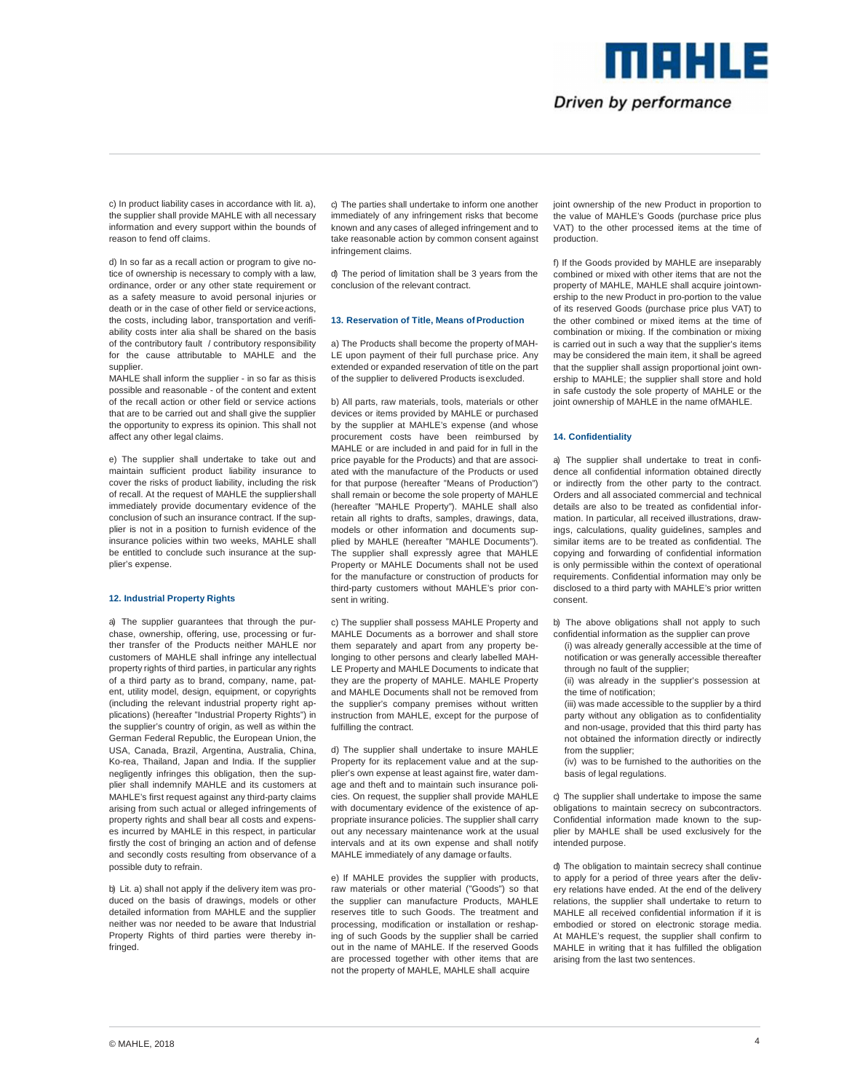

c) In product liability cases in accordance with lit. a), the supplier shall provide MAHLE with all necessary information and every support within the bounds of reason to fend off claims.

d) In so far as a recall action or program to give notice of ownership is necessary to comply with a law, ordinance, order or any other state requirement or as a safety measure to avoid personal injuries or death or in the case of other field or service actions, the costs, including labor, transportation and verifiability costs inter alia shall be shared on the basis of the contributory fault / contributory responsibility for the cause attributable to MAHLE and the supplier.

MAHLE shall inform the supplier - in so far as this is possible and reasonable - of the content and extent of the recall action or other field or service actions that are to be carried out and shall give the supplier the opportunity to express its opinion. This shall not affect any other legal claims.

e) The supplier shall undertake to take out and maintain sufficient product liability insurance to cover the risks of product liability, including the risk of recall. At the request of MAHLE the supplier shall immediately provide documentary evidence of the conclusion of such an insurance contract. If the supplier is not in a position to furnish evidence of the .<br>insurance policies within two weeks, MAHLE shall be entitled to conclude such insurance at the supplier's expense.

# **12. Industrial Property Rights**

a) The supplier guarantees that through the purchase, ownership, offering, use, processing or further transfer of the Products neither MAHLE nor customers of MAHLE shall infringe any intellectual property rights of third parties, in particular any rights of a third party as to brand, company, name, patent, utility model, design, equipment, or copyrights (including the relevant industrial property right applications) (hereafter "Industrial Property Rights") in the supplier's country of origin, as well as within the German Federal Republic, the European Union, the USA, Canada, Brazil, Argentina, Australia, China, Ko-rea, Thailand, Japan and India. If the supplier negligently infringes this obligation, then the supplier shall indemnify MAHLE and its customers at MAHLE's first request against any third-party claims arising from such actual or alleged infringements of property rights and shall bear all costs and expenses incurred by MAHLE in this respect, in particular firstly the cost of bringing an action and of defense and secondly costs resulting from observance of a possible duty to refrain.

b) Lit. a) shall not apply if the delivery item was produced on the basis of drawings, models or other detailed information from MAHLE and the supplier neither was nor needed to be aware that Industrial Property Rights of third parties were thereby infringed.

c) The parties shall undertake to inform one another immediately of any infringement risks that become known and any cases of alleged infringement and to take reasonable action by common consent against infringement claims.

d) The period of limitation shall be 3 years from the conclusion of the relevant contract.

## **13. Reservation of Title, Means of Production**

a) The Products shall become the property of MAH-LE upon payment of their full purchase price. Any extended or expanded reservation of title on the part of the supplier to delivered Products is excluded.

b) All parts, raw materials, tools, materials or other devices or items provided by MAHLE or purchased by the supplier at MAHLE's expense (and whose procurement costs have been reimbursed by MAHLE or are included in and paid for in full in the price payable for the Products) and that are associated with the manufacture of the Products or used for that purpose (hereafter "Means of Production") shall remain or become the sole property of MAHLE (hereafter "MAHLE Property"). MAHLE shall also retain all rights to drafts, samples, drawings, data, models or other information and documents supplied by MAHLE (hereafter "MAHLE Documents"). The supplier shall expressly agree that MAHLE Property or MAHLE Documents shall not be used for the manufacture or construction of products for third-party customers without MAHLE's prior consent in writing.

c) The supplier shall possess MAHLE Property and MAHLE Documents as a borrower and shall store them separately and apart from any property belonging to other persons and clearly labelled MAH-LE Property and MAHLE Documents to indicate that they are the property of MAHLE. MAHLE Property and MAHLE Documents shall not be removed from the supplier's company premises without written instruction from MAHLE, except for the purpose of fulfilling the contract.

d) The supplier shall undertake to insure MAHLE Property for its replacement value and at the supplier's own expense at least against fire, water damage and theft and to maintain such insurance policies. On request, the supplier shall provide MAHLE with documentary evidence of the existence of appropriate insurance policies. The supplier shall carry out any necessary maintenance work at the usual intervals and at its own expense and shall notify MAHLE immediately of any damage or faults.

e) If MAHLE provides the supplier with products, raw materials or other material ("Goods") so that the supplier can manufacture Products, MAHLE reserves title to such Goods. The treatment and processing, modification or installation or reshaping of such Goods by the supplier shall be carried out in the name of MAHLE. If the reserved Goods are processed together with other items that are not the property of MAHLE, MAHLE shall acquire

joint ownership of the new Product in proportion to the value of MAHLE's Goods (purchase price plus VAT) to the other processed items at the time of production.

f) If the Goods provided by MAHLE are inseparably combined or mixed with other items that are not the property of MAHLE, MAHLE shall acquire joint ownership to the new Product in pro-portion to the value of its reserved Goods (purchase price plus VAT) to the other combined or mixed items at the time of combination or mixing. If the combination or mixing is carried out in such a way that the supplier's items may be considered the main item, it shall be agreed that the supplier shall assign proportional joint ownership to MAHLE; the supplier shall store and hold in safe custody the sole property of MAHLE or the joint ownership of MAHLE in the name of MAHLE.

#### **14. Confidentiality**

a) The supplier shall undertake to treat in confidence all confidential information obtained directly or indirectly from the other party to the contract. Orders and all associated commercial and technical details are also to be treated as confidential information. In particular, all received illustrations, drawings, calculations, quality guidelines, samples and similar items are to be treated as confidential. The copying and forwarding of confidential information is only permissible within the context of operational requirements. Confidential information may only be disclosed to a third party with MAHLE's prior written consent.

b) The above obligations shall not apply to such confidential information as the supplier can prove

(i) was already generally accessible at the time of notification or was generally accessible thereafter through no fault of the supplier;

(ii) was already in the supplier's possession at the time of notification;

(iii) was made accessible to the supplier by a third party without any obligation as to confidentiality and non-usage, provided that this third party has not obtained the information directly or indirectly from the supplier;

(iv) was to be furnished to the authorities on the basis of legal regulations.

c) The supplier shall undertake to impose the same obligations to maintain secrecy on subcontractors. Confidential information made known to the supplier by MAHLE shall be used exclusively for the intended purpose.

d) The obligation to maintain secrecy shall continue to apply for a period of three years after the delivery relations have ended. At the end of the delivery relations, the supplier shall undertake to return to MAHLE all received confidential information if it is embodied or stored on electronic storage media. At MAHLE's request, the supplier shall confirm to MAHLE in writing that it has fulfilled the obligation arising from the last two sentences.